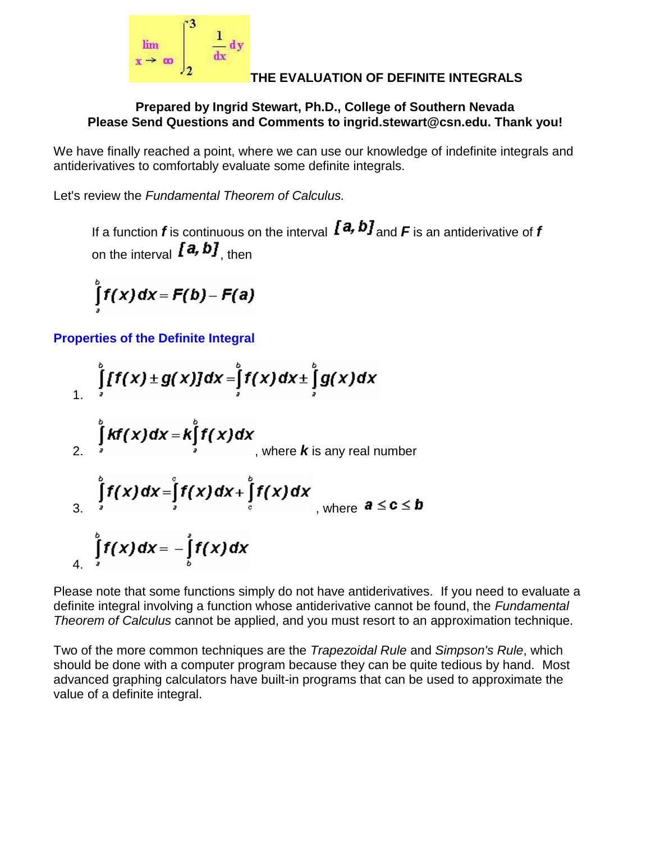

### **THE EVALUATION OF DEFINITE INTEGRALS**

#### **Prepared by Ingrid Stewart, Ph.D., College of Southern Nevada Please Send Questions and Comments to ingrid.stewart@csn.edu. Thank you!**

We have finally reached a point, where we can use our knowledge of indefinite integrals and antiderivatives to comfortably evaluate some definite integrals.

Let's review the *Fundamental Theorem of Calculus.*

If a function **f** is continuous on the interval  $[a, b]$  and  $F$  is an antiderivative of **f** on the interval  $[a, b]$ , then

$$
\int_{a}^{b} f(x) dx = F(b) - F(a)
$$

**Properties of the Definite Integral**

$$
\int_{1}^{b} [f(x) \pm g(x)] dx = \int_{s}^{b} f(x) dx \pm \int_{s}^{b} g(x) dx
$$
\n2. 
$$
\int_{s}^{b} kf(x) dx = k \int_{1}^{b} f(x) dx
$$
\nwhere *k* is any real number\n3. 
$$
\int_{s}^{b} f(x) dx = \int_{s}^{b} f(x) dx + \int_{s}^{b} f(x) dx
$$
\nwhere  $a \leq c \leq b$ 

Please note that some functions simply do not have antiderivatives. If you need to evaluate a definite integral involving a function whose antiderivative cannot be found, the *Fundamental Theorem of Calculus* cannot be applied, and you must resort to an approximation technique.

Two of the more common techniques are the *Trapezoidal Rule* and *Simpson's Rule*, which should be done with a computer program because they can be quite tedious by hand. Most advanced graphing calculators have built-in programs that can be used to approximate the value of a definite integral.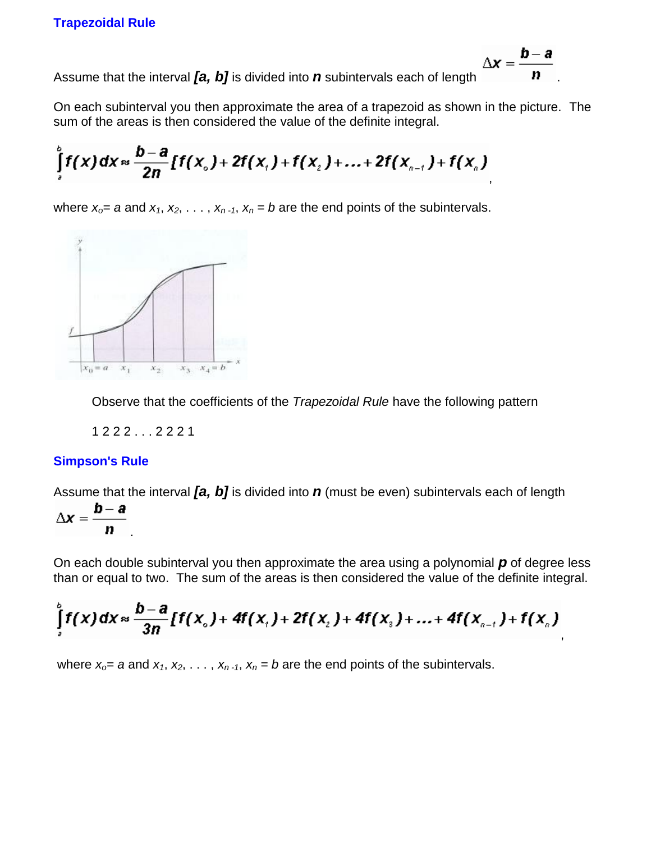$\Delta x$ 

Assume that the interval *[a, b]* is divided into *n* subintervals each of length

On each subinterval you then approximate the area of a trapezoid as shown in the picture. The sum of the areas is then considered the value of the definite integral.

$$
\int_{1}^{b} f(x) dx \approx \frac{b-a}{2n} [f(x_{0}) + 2f(x_{1}) + f(x_{2}) + ... + 2f(x_{n-1}) + f(x_{n})]
$$

where  $x_0 = a$  and  $x_1, x_2, \ldots, x_{n-1}, x_n = b$  are the end points of the subintervals.



Observe that the coefficients of the *Trapezoidal Rule* have the following pattern

1 2 2 2 . . . 2 2 2 1

#### **Simpson's Rule**

Assume that the interval *[a, b]* is divided into *n* (must be even) subintervals each of length

$$
\Delta x = \frac{b-a}{n}
$$

On each double subinterval you then approximate the area using a polynomial *p* of degree less than or equal to two. The sum of the areas is then considered the value of the definite integral.

$$
\int_{a}^{b} f(x) dx \approx \frac{b-a}{3n} [f(x_{0}) + 4f(x_{1}) + 2f(x_{2}) + 4f(x_{3}) + ... + 4f(x_{n-1}) + f(x_{n})]
$$

where  $x_0 = a$  and  $x_1, x_2, \ldots, x_{n-1}, x_n = b$  are the end points of the subintervals.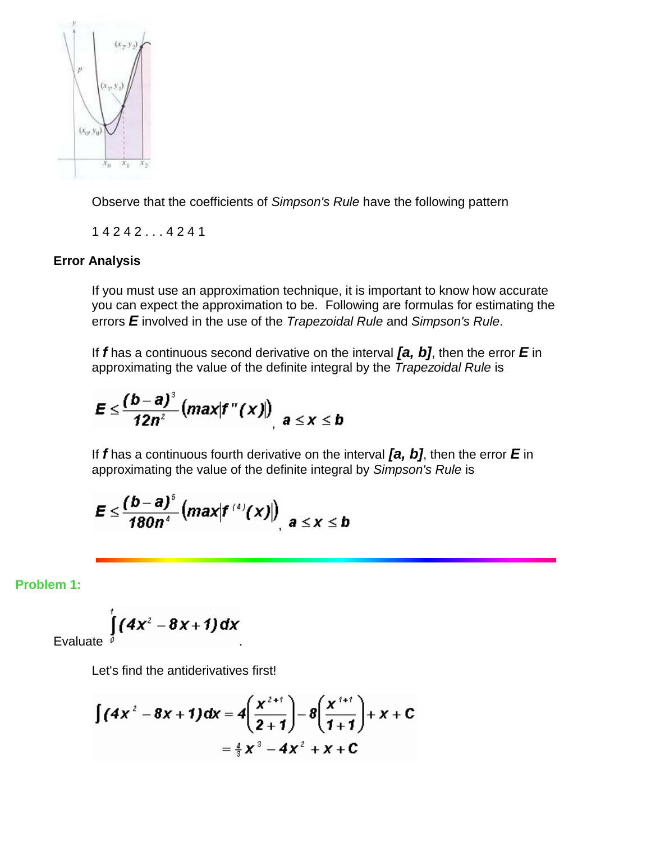

Observe that the coefficients of *Simpson's Rule* have the following pattern

1 4 2 4 2 . . . 4 2 4 1

#### **Error Analysis**

If you must use an approximation technique, it is important to know how accurate you can expect the approximation to be. Following are formulas for estimating the errors *E* involved in the use of the *Trapezoidal Rule* and *Simpson's Rule*.

If *f* has a continuous second derivative on the interval *[a, b]*, then the error *E* in approximating the value of the definite integral by the *Trapezoidal Rule* is

$$
E \leq \frac{(b-a)^3}{12n^2} \big( max |f''(x)| \big)_{|a \leq x \leq b}
$$

If *f* has a continuous fourth derivative on the interval *[a, b]*, then the error *E* in approximating the value of the definite integral by *Simpson's Rule* is

$$
\boldsymbol{E} \leq \frac{(b-a)^s}{180n^s} \big( max |f^{(s)}(x)| \big)_{|a| \leq X} \leq b
$$

**Problem 1:**

Evaluate 
$$
\int_{0}^{t} (4x^2 - 8x + 1) dx
$$

Let's find the antiderivatives first!

$$
\int (4x^2 - 8x + 1) dx = 4\left(\frac{x^{2+1}}{2+1}\right) - 8\left(\frac{x^{1+1}}{1+1}\right) + x + C
$$

$$
= \frac{4}{3}x^3 - 4x^2 + x + C
$$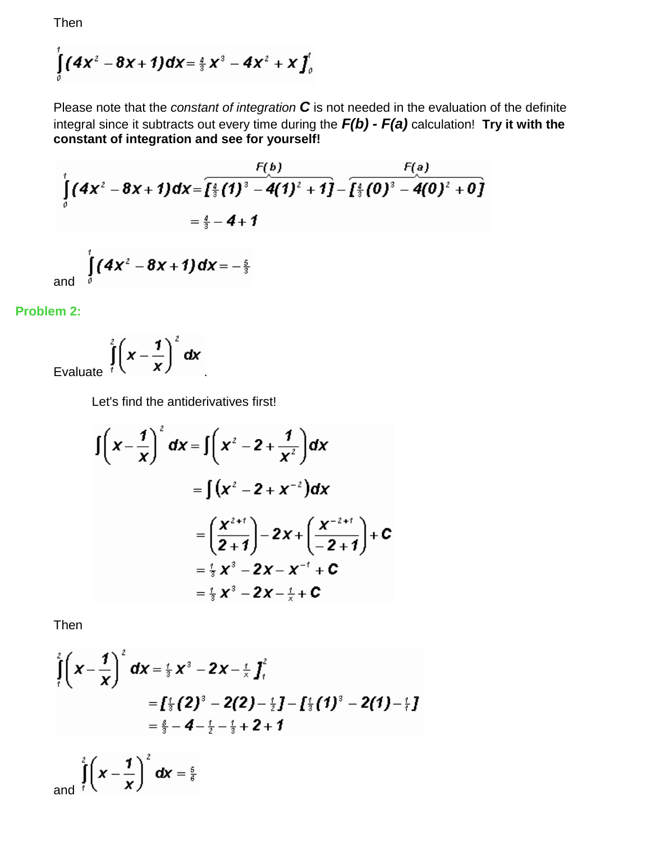Then

$$
\int_{a} (4x^2 - 8x + 1) dx = \frac{a}{3}x^3 - 4x^2 + x \int_{a}^{b}
$$

Please note that the *constant of integration C* is not needed in the evaluation of the definite integral since it subtracts out every time during the *F(b) - F(a)* calculation! **Try it with the constant of integration and see for yourself!**

$$
\int_{0}^{t} (4x^{2} - 8x + 1) dx = \overline{\left[\frac{4}{3}(1)^{3} - 4(1)^{2} + 1\right]} - \overline{\left[\frac{4}{3}(0)^{3} - 4(0)^{2} + 0\right]}
$$
  
=  $\frac{4}{3} - 4 + 1$   
and 
$$
\int_{0}^{t} (4x^{2} - 8x + 1) dx = -\frac{5}{3}
$$

**Problem 2:**

Evaluate  $\int_{1}^{2} \left(x - \frac{1}{x}\right)^2 dx$ 

Let's find the antiderivatives first!

$$
\int \left( x - \frac{1}{x} \right)^2 dx = \int \left( x^2 - 2 + \frac{1}{x^2} \right) dx
$$
  
\n
$$
= \int (x^2 - 2 + x^{-2}) dx
$$
  
\n
$$
= \left( \frac{x^{2+i}}{2+1} \right) - 2x + \left( \frac{x^{-2+i}}{-2+1} \right) + c
$$
  
\n
$$
= \frac{i}{3} x^3 - 2x - x^{-1} + c
$$
  
\n
$$
= \frac{i}{3} x^3 - 2x - \frac{i}{5} + c
$$

Then

$$
\int_{1}^{2} \left( x - \frac{1}{x} \right)^{2} dx = \frac{1}{3} x^{3} - 2x - \frac{1}{x} \int_{1}^{2} dx
$$
\n
$$
= \int_{1}^{2} \left( 2 \right)^{3} - 2(2) - \frac{1}{2} \int_{1}^{2} \left( 1 \right)^{3} - 2(1) - \frac{1}{7} \int_{1}^{2} dx
$$
\n
$$
= \frac{8}{3} - 4 - \frac{1}{2} - \frac{1}{3} + 2 + 1
$$
\n
$$
\int_{1}^{2} \left( x - \frac{1}{2} \right)^{2} dx
$$

and  $\int_{0}^{\pi} \left(x - \frac{1}{x}\right)^{x} dx = \frac{5}{6}$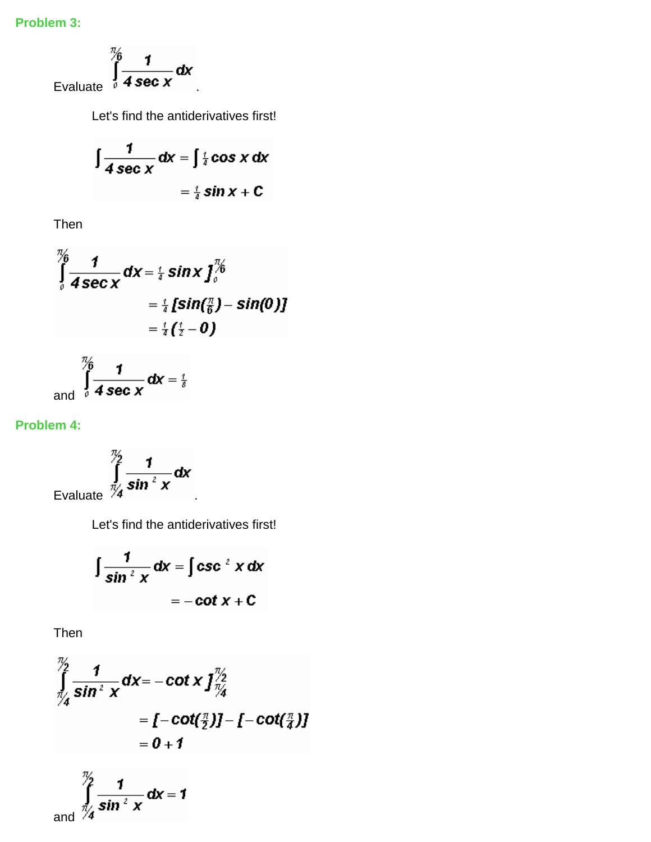## **Problem 3:**

Evaluate 
$$
\int_{0}^{\frac{\pi}{6}} \frac{1}{4 \sec x} dx
$$

Let's find the antiderivatives first!

$$
\int \frac{1}{4 \sec x} dx = \int \frac{1}{4} \cos x dx
$$

$$
= \frac{1}{4} \sin x + C
$$

Then

$$
\int_{0}^{\frac{\pi}{6}} \frac{1}{4 \sec x} dx = \frac{1}{4} \sin x \int_{0}^{\frac{\pi}{6}} dx
$$
  
=  $\frac{1}{4} [\sin(\frac{\pi}{6}) - \sin(0)]$   
=  $\frac{1}{4} (\frac{1}{2} - 0)$ 

and 
$$
\int_{0}^{\frac{\pi}{6}} \frac{1}{4 \sec x} dx = \frac{1}{8}
$$

## **Problem 4:**

Evaluate 
$$
\int_{\frac{\pi}{4}}^{\frac{\pi}{2}} \frac{1}{\sin^2 x} dx
$$

Let's find the antiderivatives first!

$$
\int \frac{1}{\sin^2 x} dx = \int \csc^2 x dx
$$

$$
= -\cot x + C
$$

Then

$$
\int_{\frac{\pi}{2}}^{\frac{\pi}{2}} \frac{1}{\sin^2 x} dx = -\cot x \int_{\frac{\pi}{2}}^{\frac{\pi}{2}} dx
$$
\n
$$
= [-\cot(\frac{\pi}{2})] - [-\cot(\frac{\pi}{4})]
$$
\n
$$
= 0 + 1
$$
\n
$$
\int_{\frac{\pi}{2}}^{\frac{\pi}{2}} dx = -\cot(\frac{\pi}{2}) - \cot(\frac{\pi}{4})
$$

and 
$$
\int_{\frac{\pi}{4}}^{\frac{\pi}{2}} \frac{1}{\sin^2 x} dx = 1
$$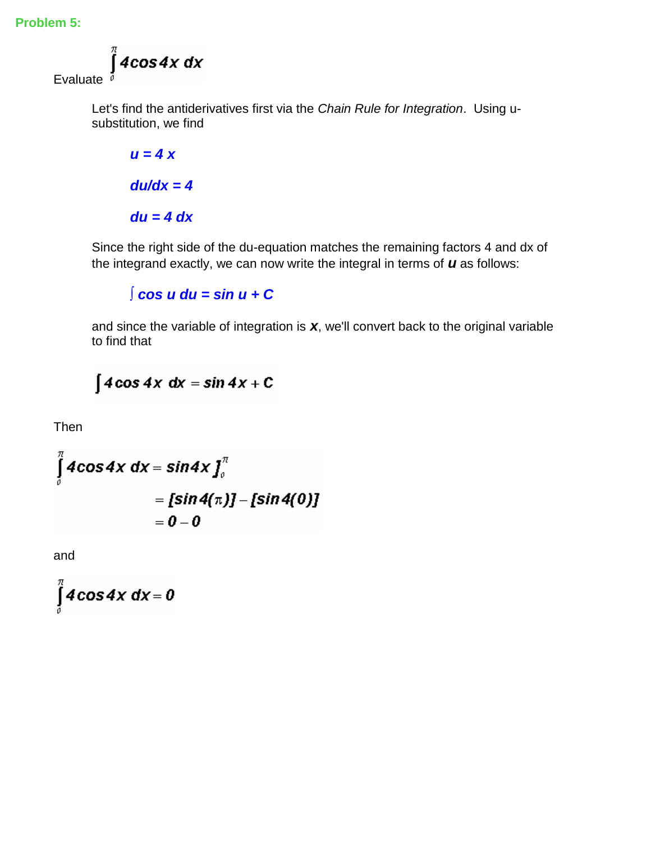**Problem 5:**

 $\int$ 4 $\cos$ 4 $x$  d $x$ Evaluate  $\bar{p}$ 

Let's find the antiderivatives first via the *Chain Rule for Integration*. Using usubstitution, we find

*u = 4 x du/dx = 4 du = 4 dx*

Since the right side of the du-equation matches the remaining factors 4 and dx of the integrand exactly, we can now write the integral in terms of *u* as follows:

*∫ cos u du = sin u + C* 

and since the variable of integration is *x*, we'll convert back to the original variable to find that

 $\int 4\cos 4x \, dx = \sin 4x + C$ 

Then

$$
\int_{0}^{\pi} 4\cos 4x \, dx = \sin 4x \int_{0}^{\pi} \n= [\sin 4(\pi)] - [\sin 4(0)] \n= 0 - 0
$$

and

$$
\int\limits_{0}^{\pi}4\cos 4x\ dx=0
$$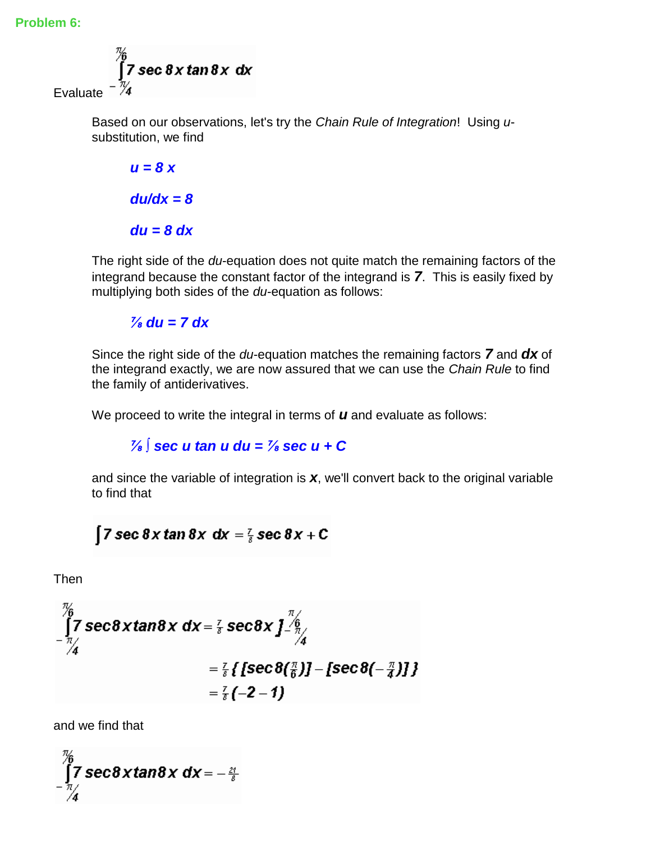

Based on our observations, let's try the *Chain Rule of Integration*! Using *u*substitution, we find

$$
u = 8 \times
$$

$$
du/dx = 8
$$

$$
du = 8 dx
$$

The right side of the *du*-equation does not quite match the remaining factors of the integrand because the constant factor of the integrand is *7*. This is easily fixed by multiplying both sides of the *du*-equation as follows:

## $\frac{7}{8}$  du = 7 dx

Since the right side of the *du*-equation matches the remaining factors *7* and *dx* of the integrand exactly, we are now assured that we can use the *Chain Rule* to find the family of antiderivatives.

We proceed to write the integral in terms of *u* and evaluate as follows:

## *⅞ ∫ sec u tan u du = ⅞ sec u + C*

and since the variable of integration is *x*, we'll convert back to the original variable to find that

## $\int$  7 sec 8 x tan 8 x dx =  $\frac{7}{8}$  sec 8 x + C

Then

$$
\int_{-\frac{\pi}{4}}^{\frac{\pi}{6}} 7 \sec \theta \, x \tan \theta \, x \, dx = \frac{7}{8} \sec \theta \, x \int_{-\frac{\pi}{4}}^{\frac{\pi}{6}} 4
$$
\n
$$
= \frac{7}{8} \{ \left[ \sec \theta \left( \frac{\pi}{6} \right) \right] - \left[ \sec \theta \left( -\frac{\pi}{4} \right) \right] \} = \frac{7}{8} \left( -2 - 1 \right)
$$

and we find that

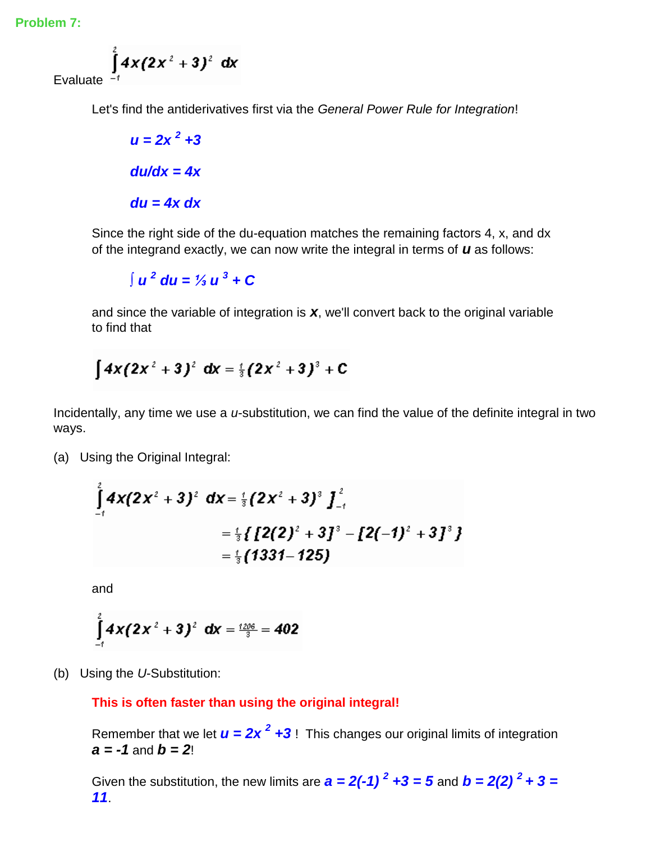**Problem 7:**

Evaluate 
$$
\int_{-1}^{2} 4x(2x^2+3)^2 dx
$$

Let's find the antiderivatives first via the *General Power Rule for Integration*!

 $u = 2x^2 + 3$ *du/dx = 4x du = 4x dx*

Since the right side of the du-equation matches the remaining factors 4, x, and dx of the integrand exactly, we can now write the integral in terms of *u* as follows:

*∫ u <sup>2</sup> du = ⅓ u <sup>3</sup> + C* 

and since the variable of integration is *x*, we'll convert back to the original variable to find that

$$
\int 4x(2x^2+3)^2 \, dx = \frac{1}{3}(2x^2+3)^3 + C
$$

Incidentally, any time we use a *u*-substitution, we can find the value of the definite integral in two ways.

(a) Using the Original Integral:

$$
\int_{-1}^{1} 4x(2x^2+3)^2 dx = \frac{1}{3}(2x^2+3)^3 \int_{-1}^{2}
$$
  
=  $\frac{1}{3} \{ [2(2)^2 + 3]^3 - [2(-1)^2 + 3]^3 \}$   
=  $\frac{1}{3} (1331-125)$ 

and

$$
\int_{-1}^{2} 4x(2x^2+3)^2 \, dx = \frac{1206}{3} = 402
$$

(b) Using the *U*-Substitution:

#### **This is often faster than using the original integral!**

Remember that we let  $u = 2x^2 + 3$ ! This changes our original limits of integration *a = -1* and *b = 2*!

Given the substitution, the new limits are  $a = 2(-1)^2 + 3 = 5$  and  $b = 2(2)^2 + 3 = 5$ *11*.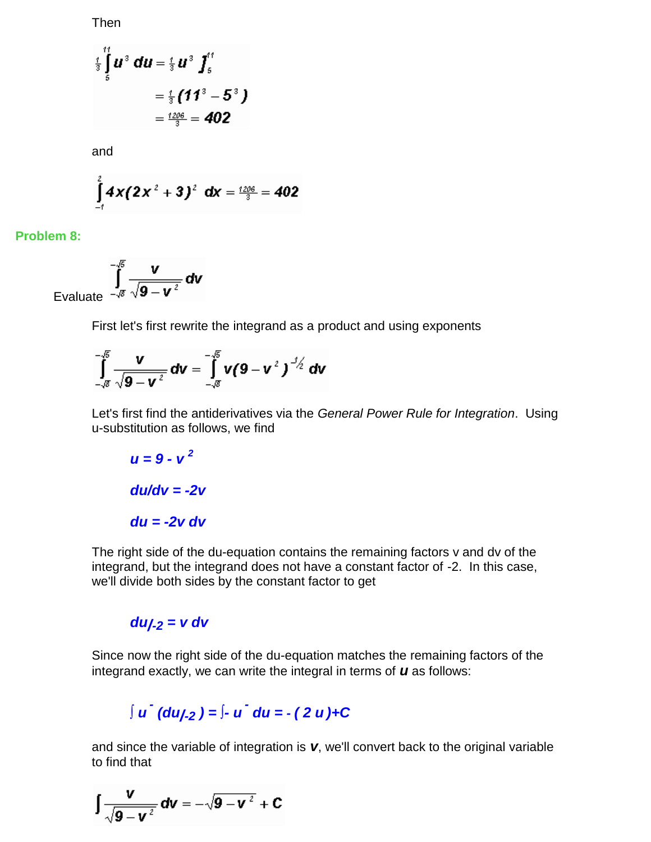Then

$$
\begin{array}{c}\n\frac{1}{3}\int_{5}^{11} u^3 du = \frac{1}{3} u^3 \int_{5}^{11} \\
= \frac{1}{3} (11^3 - 5^3) \\
= \frac{1206}{3} = 402\n\end{array}
$$

and

$$
\int_{-1}^{2} 4x(2x^2+3)^2 \, dx = \frac{1206}{3} = 402
$$

**Problem 8:**

Evaluate 
$$
\int_{-\sqrt{8}}^{-\sqrt{5}} \frac{v}{\sqrt{9-v^2}} dv
$$

First let's first rewrite the integrand as a product and using exponents

$$
\int_{-\sqrt{g}}^{-\sqrt{g}} \frac{v}{\sqrt{g-v^2}} dv = \int_{-\sqrt{g}}^{-\sqrt{g}} v(g-v^2)^{3/2} dv
$$

Let's first find the antiderivatives via the *General Power Rule for Integration*. Using u-substitution as follows, we find

$$
u = 9 - v2
$$

$$
du/dv = -2v
$$

$$
du = -2v dv
$$

The right side of the du-equation contains the remaining factors v and dv of the integrand, but the integrand does not have a constant factor of -2. In this case, we'll divide both sides by the constant factor to get

## *du/-2 = v dv*

Since now the right side of the du-equation matches the remaining factors of the integrand exactly, we can write the integral in terms of *u* as follows:

# *∫ u - (du/-2 ) = ∫- u - du = - ( 2 u )+C*

and since the variable of integration is *v*, we'll convert back to the original variable to find that

$$
\int \frac{v}{\sqrt{9-v^2}} dv = -\sqrt{9-v^2} + C
$$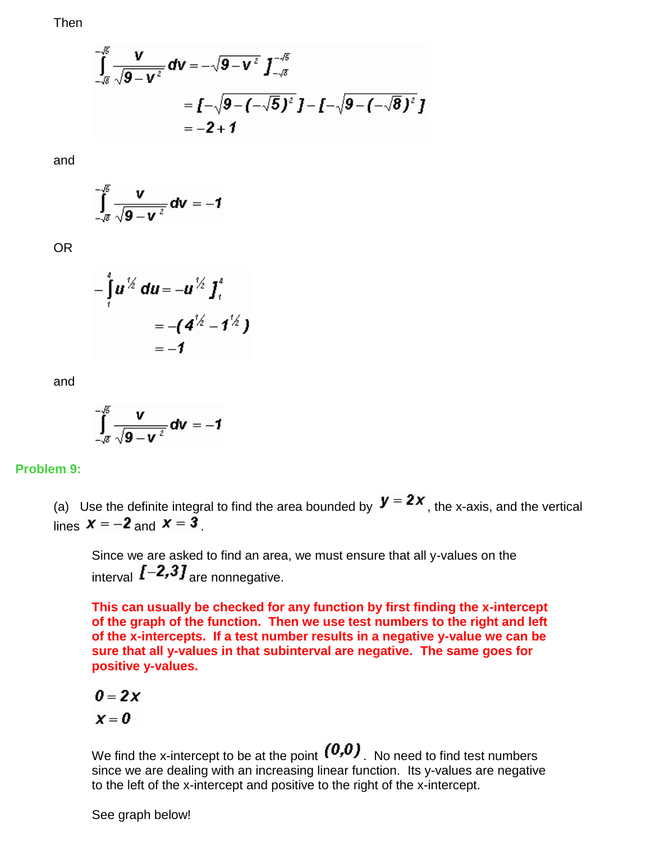Then

$$
\int_{-\sqrt{8}}^{-\sqrt{5}} \frac{v}{\sqrt{9-v^2}} dv = -\sqrt{9-v^2} \int_{-\sqrt{8}}^{-\sqrt{5}} \n= \int_{-\sqrt{9}}^{-\sqrt{9-v^2}} (-\sqrt{5})^2 J - (-\sqrt{9-v^2})^2 J \n= -2 + 1
$$

and

$$
\int_{\sqrt{s}}^{\sqrt{s}} \frac{v}{\sqrt{9-v^2}} dv = -1
$$

OR

$$
-\int_{1}^{4} u^{1/2} du = -u^{1/2} \int_{1}^{4} du
$$
  
= -(4<sup>1/2</sup> - 1<sup>1/2</sup>)  
= -1

and

$$
\int_{-\sqrt{g}}^{-\sqrt{g}} \frac{v}{\sqrt{g-v^2}} dv = -1
$$

**Problem 9:**

(a) Use the definite integral to find the area bounded by  $\boldsymbol{y} = 2x$ , the x-axis, and the vertical lines  $x = -2$  and  $x = 3$ .

Since we are asked to find an area, we must ensure that all y-values on the interval  $\left[-2,3\right]$  are nonnegative.

**This can usually be checked for any function by first finding the x-intercept of the graph of the function. Then we use test numbers to the right and left of the x-intercepts. If a test number results in a negative y-value we can be sure that all y-values in that subinterval are negative. The same goes for positive y-values.**

$$
0=2x
$$

$$
\pmb{\chi}=\pmb{0}
$$

We find the x-intercept to be at the point  $(0,0)$ . No need to find test numbers since we are dealing with an increasing linear function. Its y-values are negative to the left of the x-intercept and positive to the right of the x-intercept.

See graph below!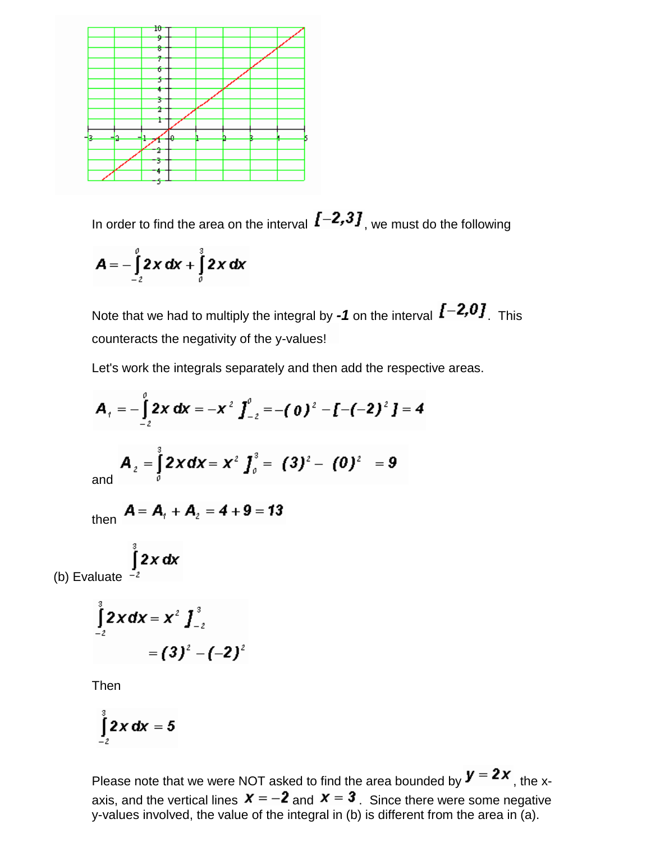

In order to find the area on the interval  $\bm{I}$  -2,3], we must do the following

$$
A = -\int_{-2}^{0} 2x \, dx + \int_{0}^{3} 2x \, dx
$$

Note that we had to multiply the integral by -1 on the interval  $\mathbf{I}$  -2,0]. This counteracts the negativity of the y-values!

Let's work the integrals separately and then add the respective areas.

$$
A_{t} = -\int_{-2}^{0} 2x \, dx = -x^{2} \int_{-2}^{0} = -(0)^{2} - (-2)^{2} \, dx = 4
$$
  
and 
$$
A_{2} = \int_{0}^{3} 2x \, dx = x^{2} \int_{0}^{3} = (3)^{2} - (0)^{2} = 9
$$

then  $A = A_1 + A_2 = 4 + 9 = 13$ 

(b) Evaluate 
$$
\int_{-2}^{3} 2x \, dx
$$

$$
\int_{-2}^{3} 2x dx = x^2 \int_{-2}^{3} dx
$$
  
= (3)<sup>2</sup> - (-2)<sup>2</sup>

Then

$$
\int_{-2}^{3} 2x \, dx = 5
$$

Please note that we were NOT asked to find the area bounded by  $\boldsymbol{y} = 2\boldsymbol{x}$ , the xaxis, and the vertical lines  $x = -2$  and  $x = 3$ . Since there were some negative y-values involved, the value of the integral in (b) is different from the area in (a).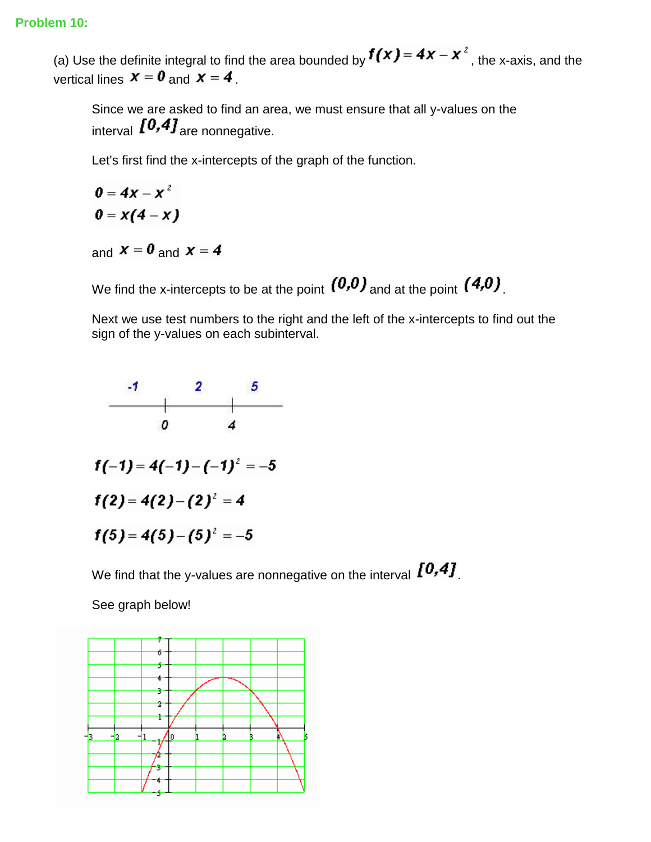(a) Use the definite integral to find the area bounded by  $f(x) = 4x - x^2$ , the x-axis, and the vertical lines  $x = 0$  and  $x = 4$ .

Since we are asked to find an area, we must ensure that all y-values on the interval  $I^{0,4}J_{\text{are nonnegative}}$ .

Let's first find the x-intercepts of the graph of the function.

 $0 = 4x - x^2$  $0 = x(4 - x)$ 

and  $x = 0$  and  $x = 4$ 

We find the x-intercepts to be at the point  $(0,0)$  and at the point  $(4,0)$ .

Next we use test numbers to the right and the left of the x-intercepts to find out the sign of the y-values on each subinterval.



We find that the y-values are nonnegative on the interval  $[0,4]$ .

See graph below!

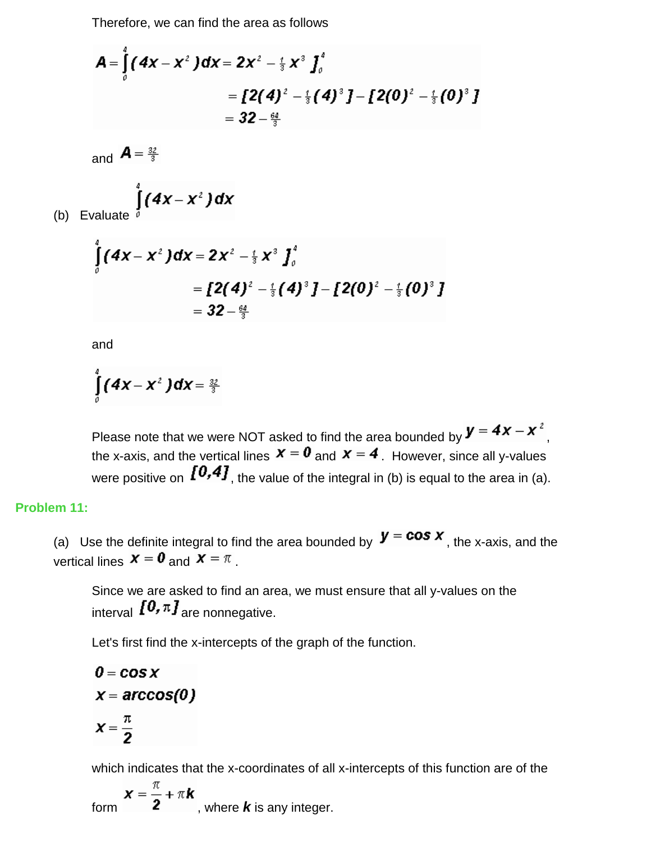Therefore, we can find the area as follows

$$
A = \int_{0}^{x} (4x - x^{2}) dx = 2x^{2} - \frac{1}{3}x^{3} \int_{0}^{x}
$$
  
=  $[2(4)^{2} - \frac{1}{3}(4)^{3}] - [2(0)^{2} - \frac{1}{3}(0)^{3}]$   
=  $32 - \frac{64}{3}$ 

and  $\mathbf{A} = \frac{32}{3}$ 

$$
\int_{\text{te}}^{\frac{4}{g}}(4x-x^2)dx
$$

(b) Evaluate

$$
\int_{0}^{4} (4x - x^{2}) dx = 2x^{2} - \frac{1}{3}x^{3} \int_{0}^{4}
$$
  
=  $[2(4)^{2} - \frac{1}{3}(4)^{3}] - [2(0)^{2} - \frac{1}{3}(0)^{3}]$   
=  $32 - \frac{64}{3}$ 

and

$$
\int\limits_{0}^{4} (4x-x^2) dx = \frac{32}{3}
$$

Please note that we were NOT asked to find the area bounded by  $\bm{y} = \bm{4x} - \bm{x}^2$ , the x-axis, and the vertical lines  $x = 0$  and  $x = 4$ . However, since all y-values were positive on  $\{0,4\}$ , the value of the integral in (b) is equal to the area in (a).

#### **Problem 11:**

(a) Use the definite integral to find the area bounded by  $\boldsymbol{y} = \boldsymbol{cos} \boldsymbol{x}$ , the x-axis, and the vertical lines  $\boldsymbol{x} = \boldsymbol{0}$  and  $\boldsymbol{x} = \pi$ .

Since we are asked to find an area, we must ensure that all y-values on the interval  $\boldsymbol{I0}$ ,  $\pi \boldsymbol{J}$  are nonnegative.

Let's first find the x-intercepts of the graph of the function.

$$
0 = \cos x
$$
  
x = arccos(0)  
x =  $\frac{\pi}{2}$ 

which indicates that the x-coordinates of all x-intercepts of this function are of the

form  $\boldsymbol{x} = \frac{\pi}{2} + \pi \boldsymbol{k}$ , where *k* is any integer.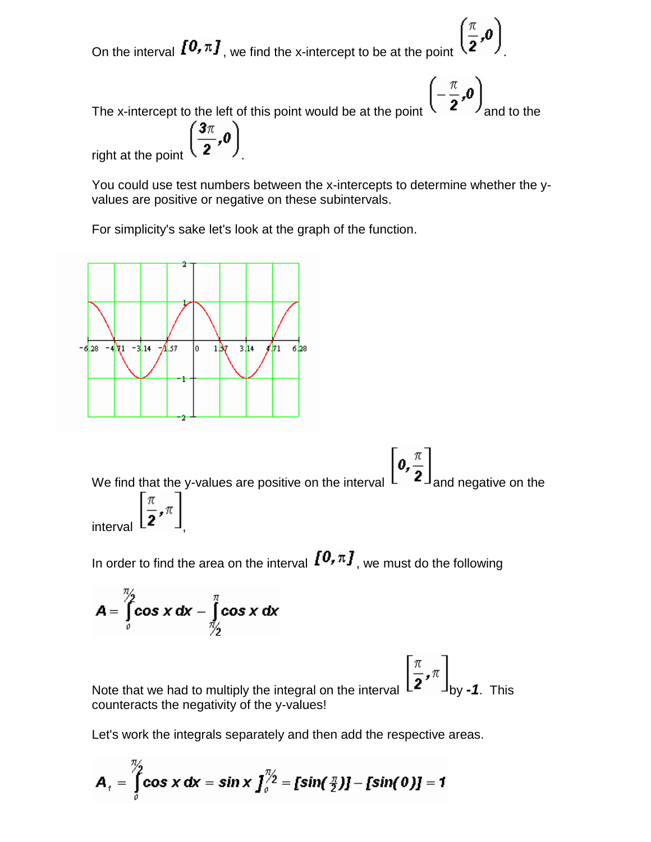On the interval  $\left[0, \pi\right]$ , we find the x-intercept to be at the point  $\left(\frac{\pi}{2}, 0\right)$ 

The x-intercept to the left of this point would be at the point  $\left(-\frac{\pi}{2},0\right)$  and to the

right at the point  $\left(\frac{3\pi}{2},0\right)$ 

You could use test numbers between the x-intercepts to determine whether the yvalues are positive or negative on these subintervals.

For simplicity's sake let's look at the graph of the function.



We find that the y-values are positive on the interval  $\left[\mathbf{0},\frac{\pi}{2}\right]_{\text{and negative on the}}$ interval  $\left[\frac{\pi}{2}, \pi\right]$ 

In order to find the area on the interval  $\{0, \pi\}$ , we must do the following

$$
A = \int_{0}^{\frac{\pi}{2}} \cos x \, dx - \int_{\frac{\pi}{2}}^{\pi} \cos x \, dx
$$

Note that we had to multiply the integral on the interval  $\left[\frac{\pi}{2}, \pi\right]_{\text{by -1. This}}$ counteracts the negativity of the y-values!

Let's work the integrals separately and then add the respective areas.

$$
A_{\tau} = \int_{0}^{\frac{\pi}{2}} \cos x \, dx = \sin x \int_{0}^{\frac{\pi}{2}} = [\sin(\frac{\pi}{2})] - [\sin(0)] = 1
$$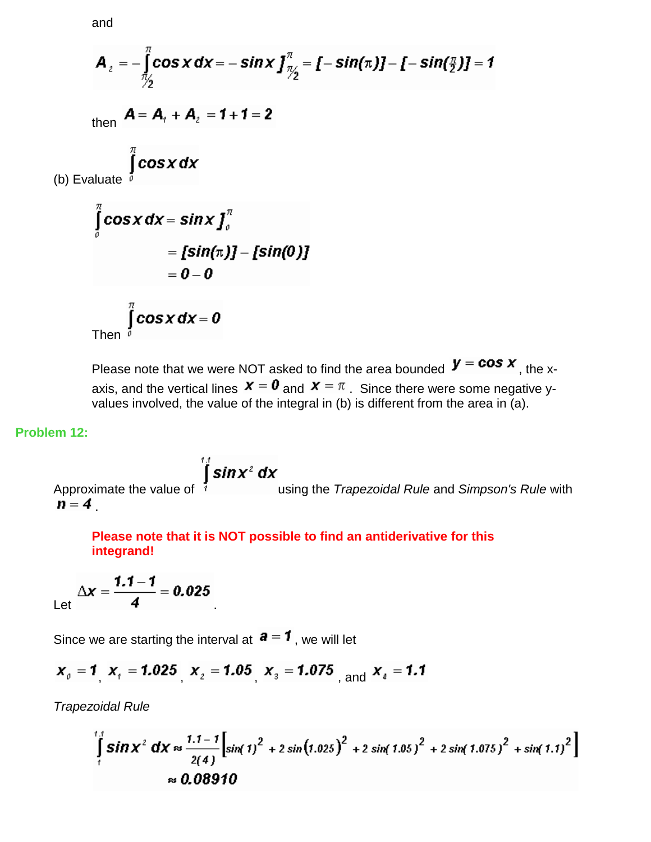and

$$
A_{2} = -\int_{\frac{\pi}{2}}^{\pi} \cos x \, dx = -\sin x \int_{\frac{\pi}{2}}^{\pi} \left[ -\sin(\pi) \right] - [-\sin(\frac{\pi}{2})] = 1
$$
\nthen\n
$$
A = A_{1} + A_{2} = 1 + 1 = 2
$$
\n(b) Evaluate\n
$$
\int_{0}^{\pi} \cos x \, dx
$$
\n
$$
\int_{0}^{\pi} \cos x \, dx = \sin x \int_{0}^{\pi}
$$
\n
$$
= [\sin(\pi) - [\sin(0)]
$$
\n
$$
= 0 - 0
$$
\nThen\n
$$
\int_{0}^{\pi} \cos x \, dx = 0
$$

Please note that we were NOT asked to find the area bounded  $\boldsymbol{y} = \boldsymbol{cos} \boldsymbol{x}$ , the xaxis, and the vertical lines  $\bm{x} = \bm{0}$  and  $\bm{x} = \pi$ . Since there were some negative yvalues involved, the value of the integral in (b) is different from the area in (a).

#### **Problem 12:**

Approximate the value of  $\int_{1}^{14}$  **sin x<sup>2</sup> dx**<br>using the *Trapezoidal Rule* and *Simpson's Rule* with  $n = 4$ 

**Please note that it is NOT possible to find an antiderivative for this integrand!**

Let 
$$
\Delta x = \frac{1.1 - 1}{4} = 0.025
$$

Since we are starting the interval at  $a = 1$ , we will let

$$
x_0 = 1
$$
,  $x_1 = 1.025$ ,  $x_2 = 1.05$ ,  $x_3 = 1.075$ , and  $x_4 = 1.1$ 

*Trapezoidal Rule*

$$
\int_{1}^{1.1} \sin x^2 \, dx \approx \frac{1.1 - 1}{2(4)} \Big[ \sin(1)^2 + 2 \sin(1.025)^2 + 2 \sin(1.05)^2 + 2 \sin(1.075)^2 + \sin(1.1)^2 \Big]
$$
  

$$
\approx 0.08910
$$